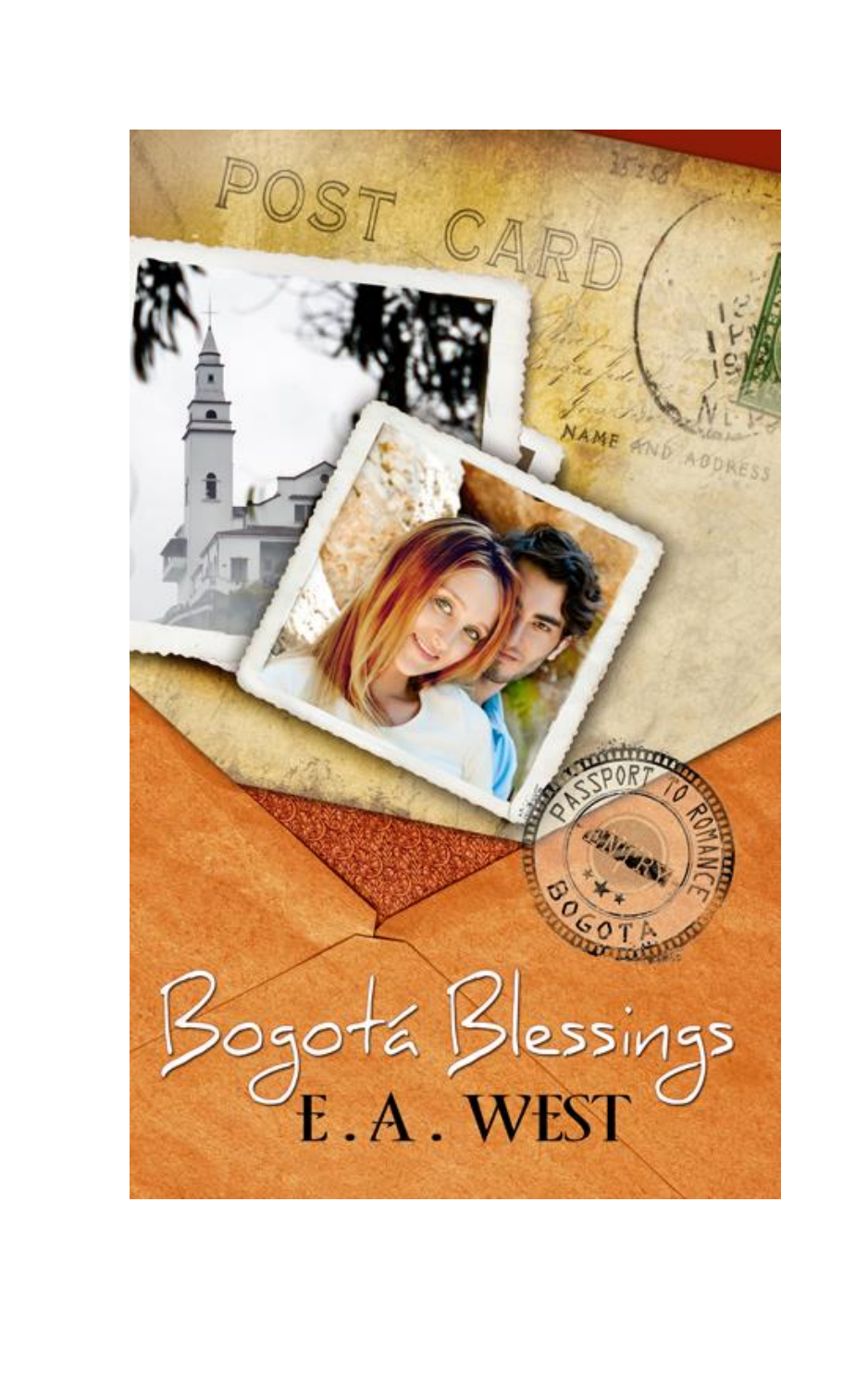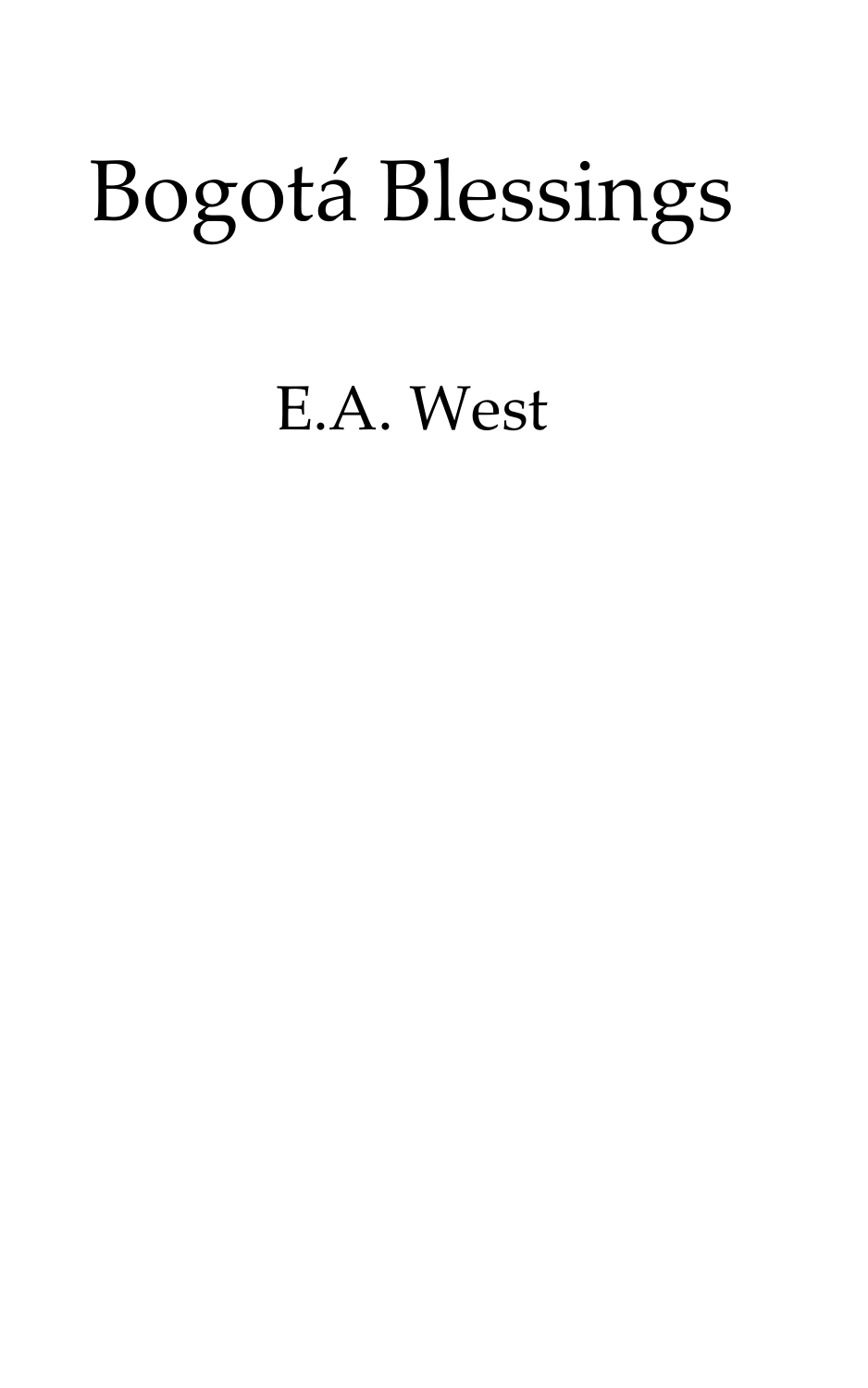# Bogotá Blessings

# E.A. West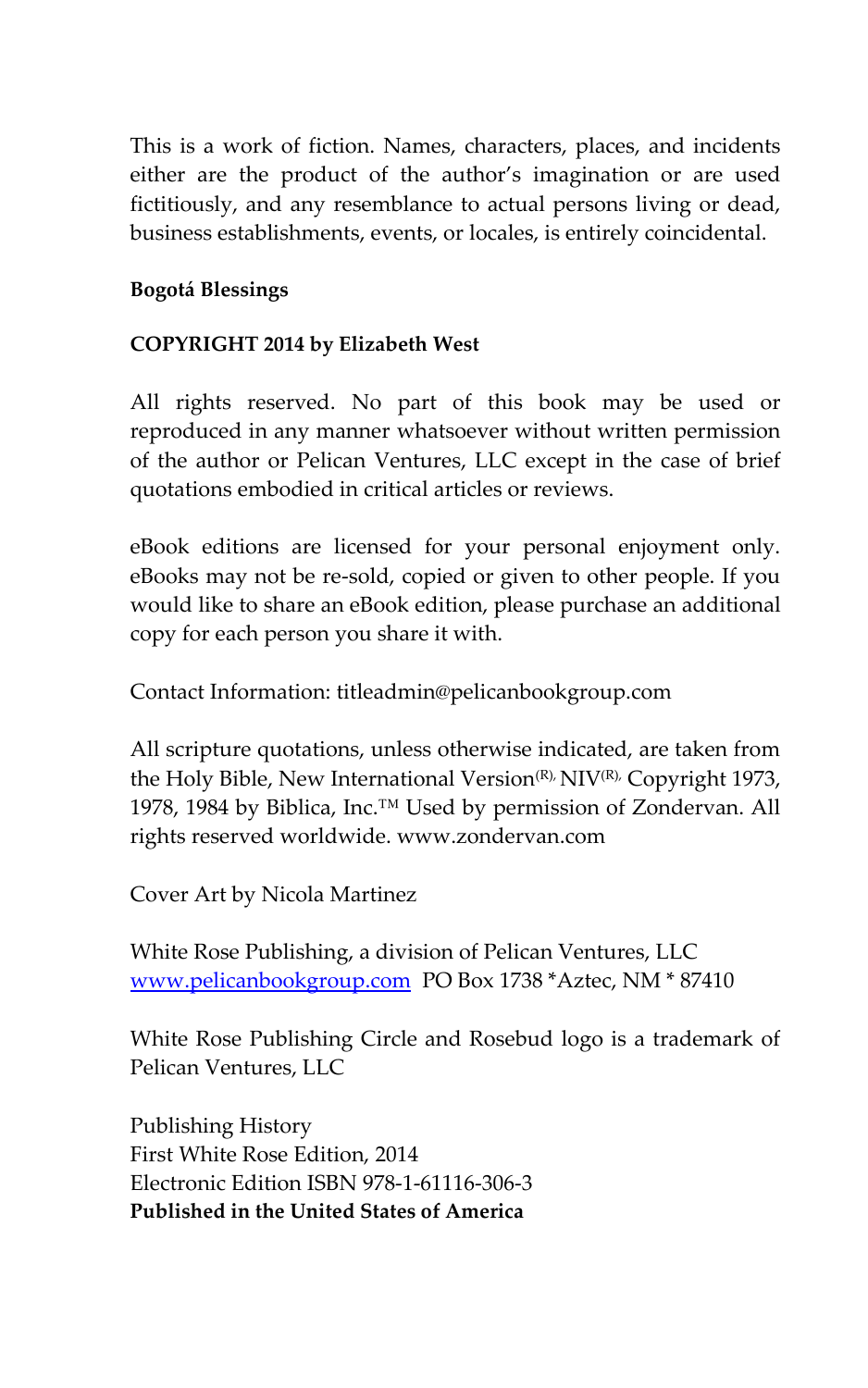This is a work of fiction. Names, characters, places, and incidents either are the product of the author's imagination or are used fictitiously, and any resemblance to actual persons living or dead, business establishments, events, or locales, is entirely coincidental.

#### **Bogotá Blessings**

#### **COPYRIGHT 2014 by Elizabeth West**

All rights reserved. No part of this book may be used or reproduced in any manner whatsoever without written permission of the author or Pelican Ventures, LLC except in the case of brief quotations embodied in critical articles or reviews.

eBook editions are licensed for your personal enjoyment only. eBooks may not be re-sold, copied or given to other people. If you would like to share an eBook edition, please purchase an additional copy for each person you share it with.

Contact Information: titleadmin@pelicanbookgroup.com

All scripture quotations, unless otherwise indicated, are taken from the Holy Bible, New International Version<sup>(R),</sup> NIV<sup>(R),</sup> Copyright 1973, 1978, 1984 by Biblica, Inc.<sup>™</sup> Used by permission of Zondervan. All rights reserved worldwide. www.zondervan.com

Cover Art by Nicola Martinez

White Rose Publishing, a division of Pelican Ventures, LLC [www.pelicanbookgroup.com](http://www.pelicanbookgroup.com/) PO Box 1738 \*Aztec, NM \* 87410

White Rose Publishing Circle and Rosebud logo is a trademark of Pelican Ventures, LLC

Publishing History First White Rose Edition, 2014 Electronic Edition ISBN 978-1-61116-306-3 **Published in the United States of America**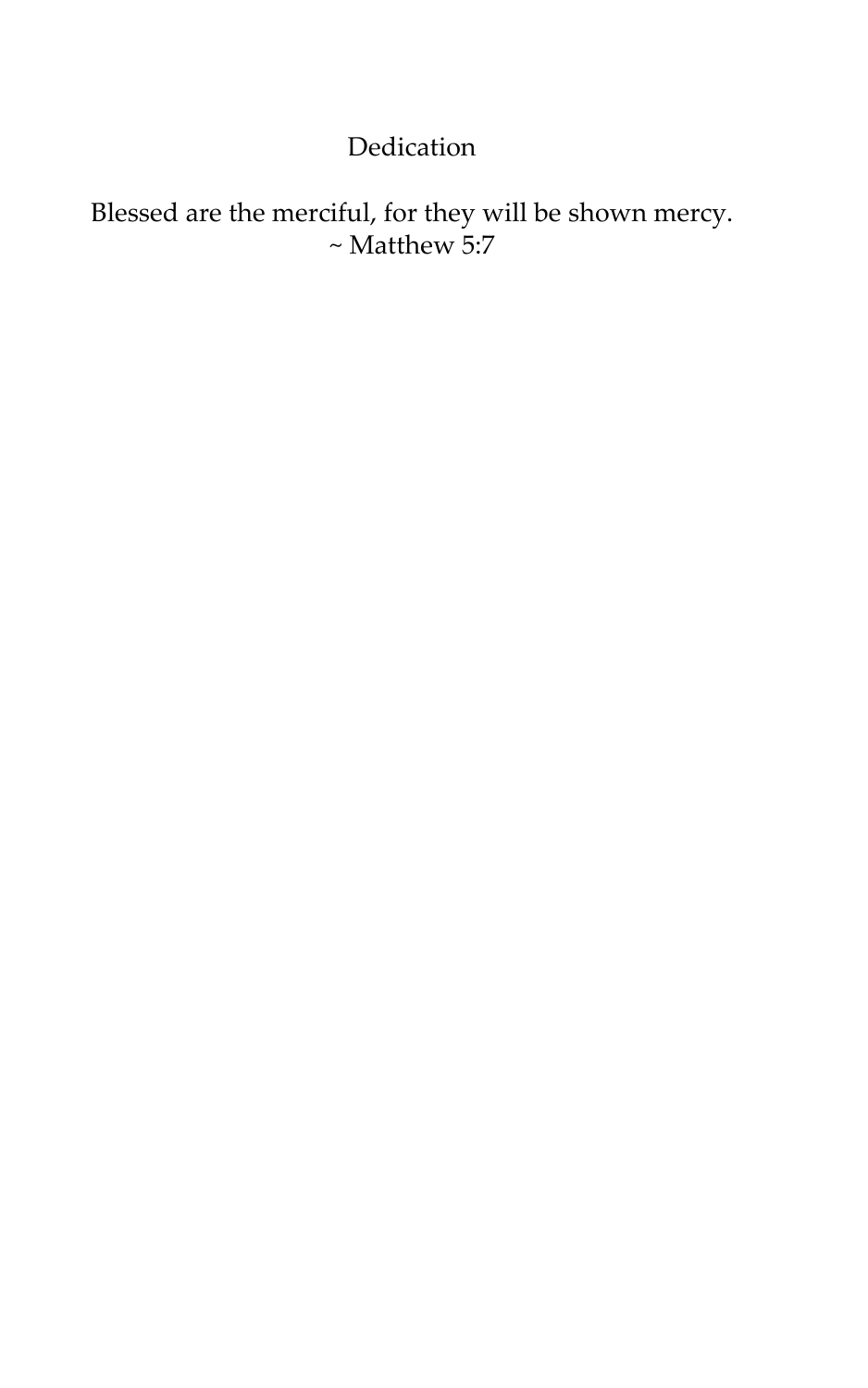# Dedication

# Blessed are the merciful, for they will be shown mercy.  $\sim$  Matthew 5:7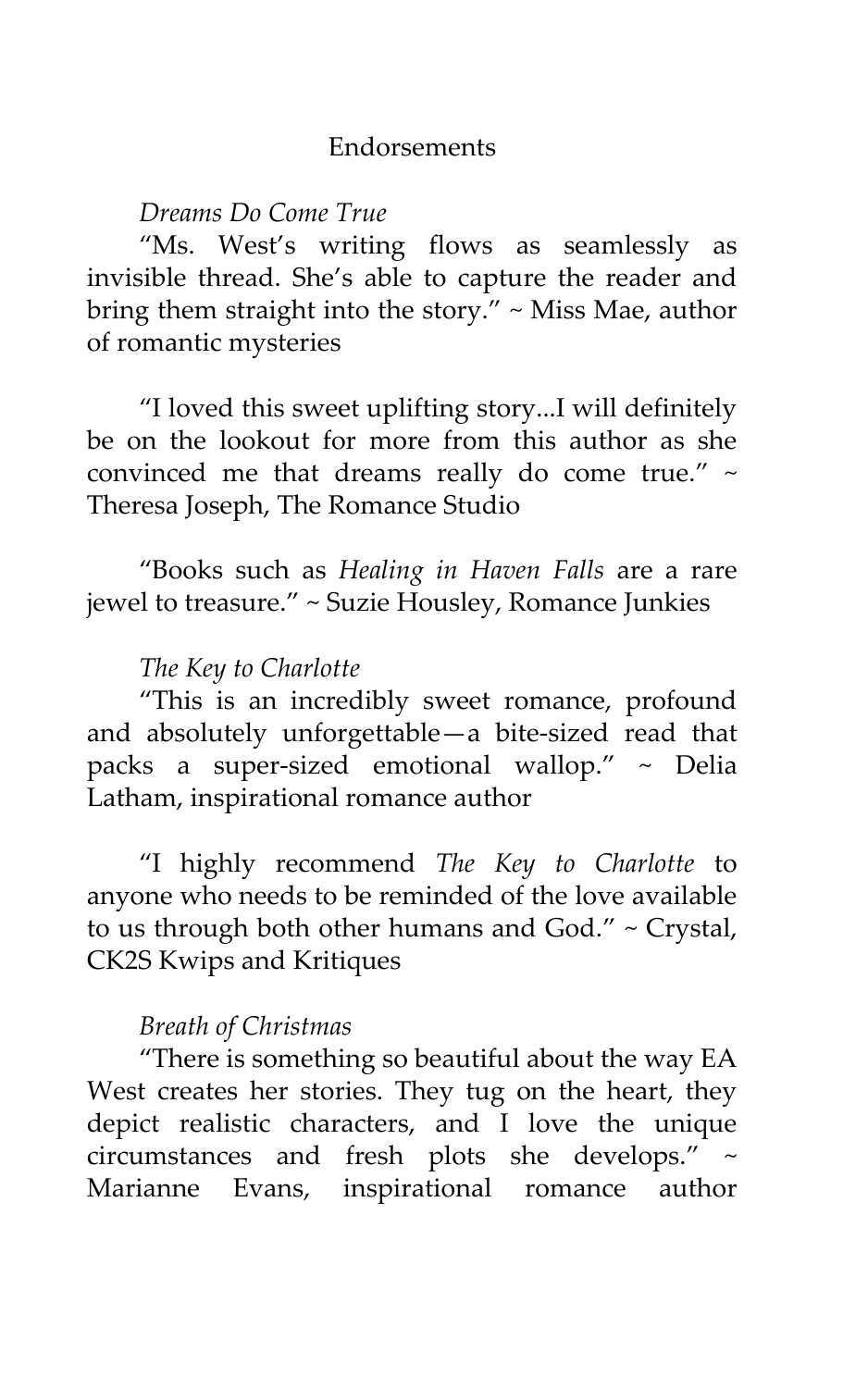#### **Endorsements**

#### *Dreams Do Come True*

'Ms. West's writing flows as seamlessly as invisible thread. She's able to capture the reader and bring them straight into the story. $"$  ~ Miss Mae, author of romantic mysteries

'I loved this sweet uplifting story...I will definitely be on the lookout for more from this author as she convinced me that dreams really do come true." ~ Theresa Joseph, The Romance Studio

'Books such as *Healing in Haven Falls* are a rare jewel to treasure.' ~ Suzie Housley, Romance Junkies

## *The Key to Charlotte*

'This is an incredibly sweet romance, profound and absolutely unforgettable—a bite-sized read that packs a super-sized emotional wallop." ~ Delia Latham, inspirational romance author

'I highly recommend *The Key to Charlotte* to anyone who needs to be reminded of the love available to us through both other humans and God." ~ Crystal, CK2S Kwips and Kritiques

## *Breath of Christmas*

'There is something so beautiful about the way EA West creates her stories. They tug on the heart, they depict realistic characters, and I love the unique circumstances and fresh plots she develops.' ~ Marianne Evans, inspirational romance author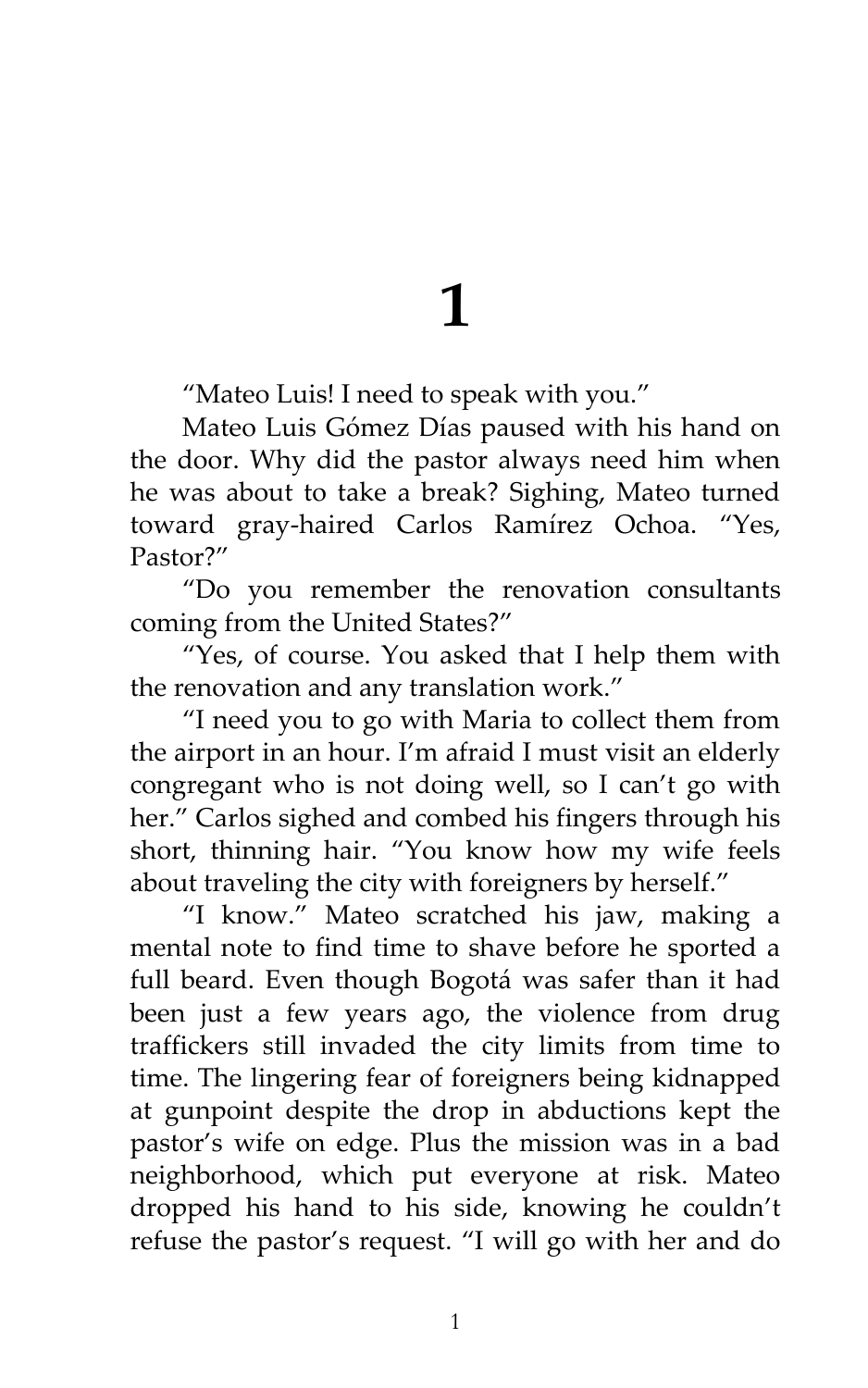**1**

'Mateo Luis! I need to speak with you.'

Mateo Luis Gómez Días paused with his hand on the door. Why did the pastor always need him when he was about to take a break? Sighing, Mateo turned toward gray-haired Carlos Ramírez Ochoa. 'Yes, Pastor?'

'Do you remember the renovation consultants coming from the United States?'

'Yes, of course. You asked that I help them with the renovation and any translation work.'

'I need you to go with Maria to collect them from the airport in an hour. I'm afraid I must visit an elderly congregant who is not doing well, so I can't go with her." Carlos sighed and combed his fingers through his short, thinning hair. 'You know how my wife feels about traveling the city with foreigners by herself."

'I know.' Mateo scratched his jaw, making a mental note to find time to shave before he sported a full beard. Even though Bogotá was safer than it had been just a few years ago, the violence from drug traffickers still invaded the city limits from time to time. The lingering fear of foreigners being kidnapped at gunpoint despite the drop in abductions kept the pastor's wife on edge. Plus the mission was in a bad neighborhood, which put everyone at risk. Mateo dropped his hand to his side, knowing he couldn't refuse the pastor's request. 'I will go with her and do

1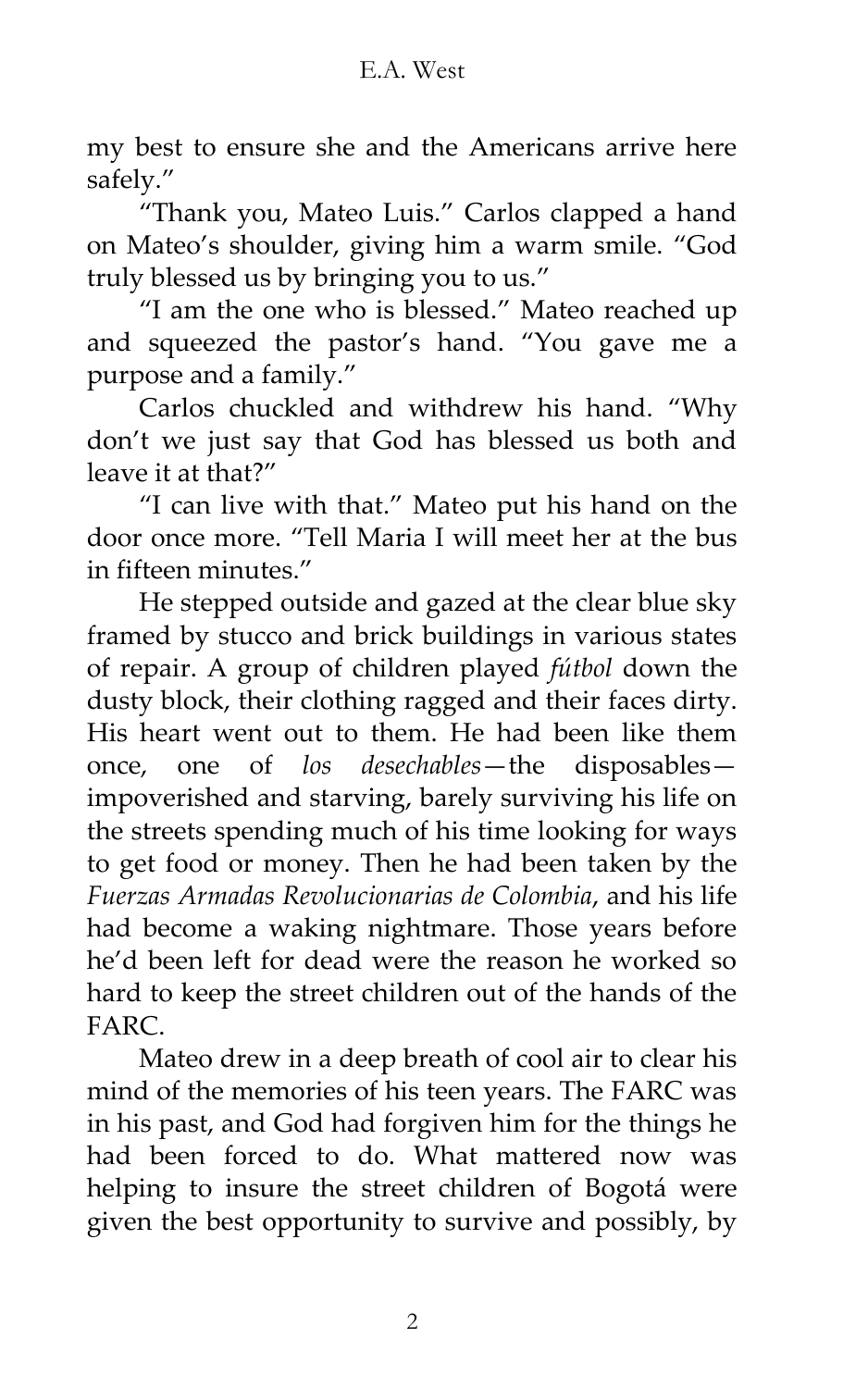my best to ensure she and the Americans arrive here safely.'

'Thank you, Mateo Luis.' Carlos clapped a hand on Mateo's shoulder, giving him a warm smile. 'God truly blessed us by bringing you to us.'

'I am the one who is blessed.' Mateo reached up and squeezed the pastor's hand. 'You gave me a purpose and a family.'

Carlos chuckled and withdrew his hand. 'Why don't we just say that God has blessed us both and leave it at that?'

'I can live with that.' Mateo put his hand on the door once more. 'Tell Maria I will meet her at the bus in fifteen minutes.'

He stepped outside and gazed at the clear blue sky framed by stucco and brick buildings in various states of repair. A group of children played *fútbol* down the dusty block, their clothing ragged and their faces dirty. His heart went out to them. He had been like them once, one of *los desechables*—the disposables impoverished and starving, barely surviving his life on the streets spending much of his time looking for ways to get food or money. Then he had been taken by the *Fuerzas Armadas Revolucionarias de Colombia*, and his life had become a waking nightmare. Those years before he'd been left for dead were the reason he worked so hard to keep the street children out of the hands of the **FARC** 

Mateo drew in a deep breath of cool air to clear his mind of the memories of his teen years. The FARC was in his past, and God had forgiven him for the things he had been forced to do. What mattered now was helping to insure the street children of Bogotá were given the best opportunity to survive and possibly, by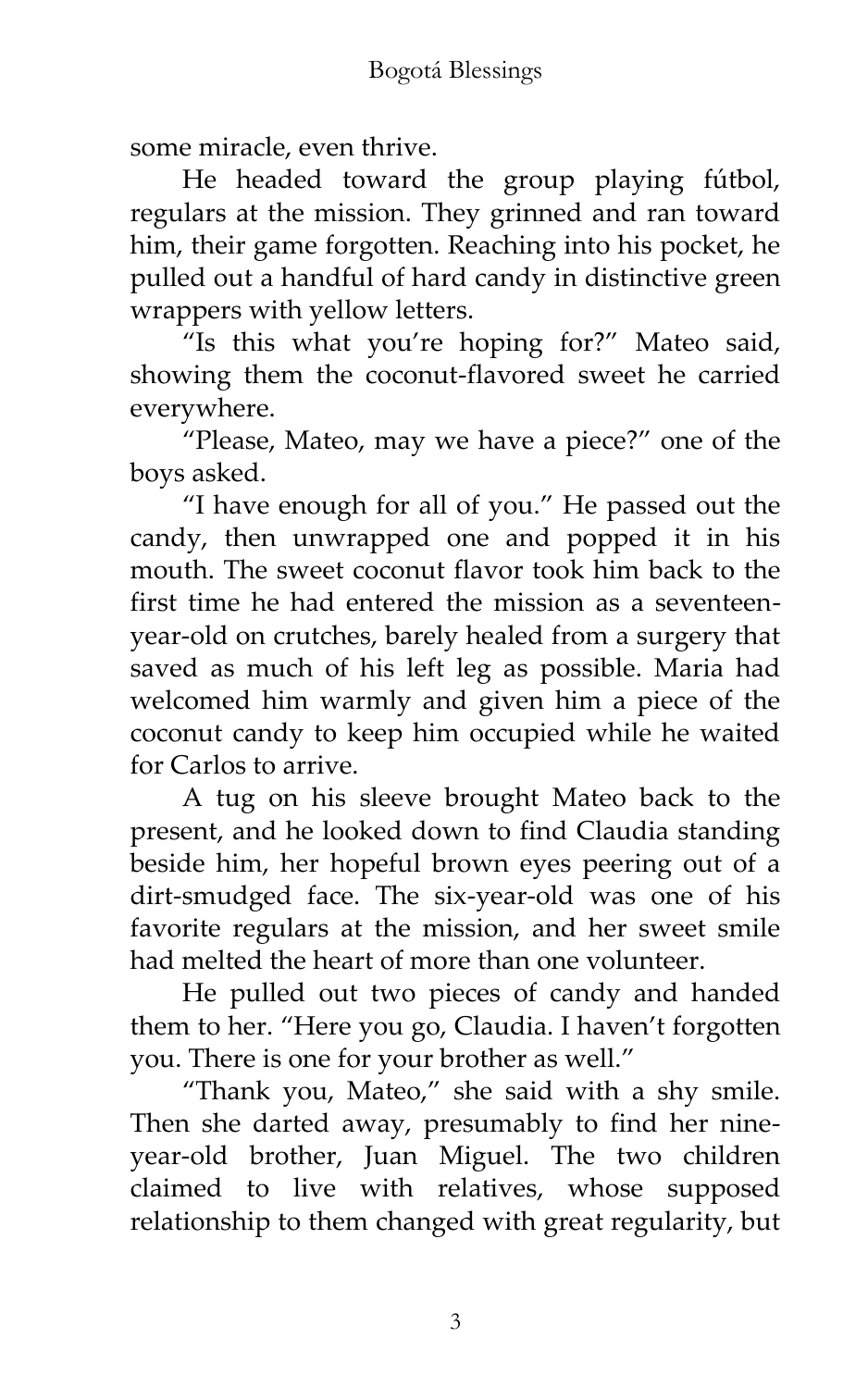some miracle, even thrive.

He headed toward the group playing fútbol, regulars at the mission. They grinned and ran toward him, their game forgotten. Reaching into his pocket, he pulled out a handful of hard candy in distinctive green wrappers with yellow letters.

'Is this what you're hoping for?' Mateo said, showing them the coconut-flavored sweet he carried everywhere.

'Please, Mateo, may we have a piece?' one of the boys asked.

'I have enough for all of you.' He passed out the candy, then unwrapped one and popped it in his mouth. The sweet coconut flavor took him back to the first time he had entered the mission as a seventeenyear-old on crutches, barely healed from a surgery that saved as much of his left leg as possible. Maria had welcomed him warmly and given him a piece of the coconut candy to keep him occupied while he waited for Carlos to arrive.

A tug on his sleeve brought Mateo back to the present, and he looked down to find Claudia standing beside him, her hopeful brown eyes peering out of a dirt-smudged face. The six-year-old was one of his favorite regulars at the mission, and her sweet smile had melted the heart of more than one volunteer.

He pulled out two pieces of candy and handed them to her. 'Here you go, Claudia. I haven't forgotten you. There is one for your brother as well.'

'Thank you, Mateo,' she said with a shy smile. Then she darted away, presumably to find her nineyear-old brother, Juan Miguel. The two children claimed to live with relatives, whose supposed relationship to them changed with great regularity, but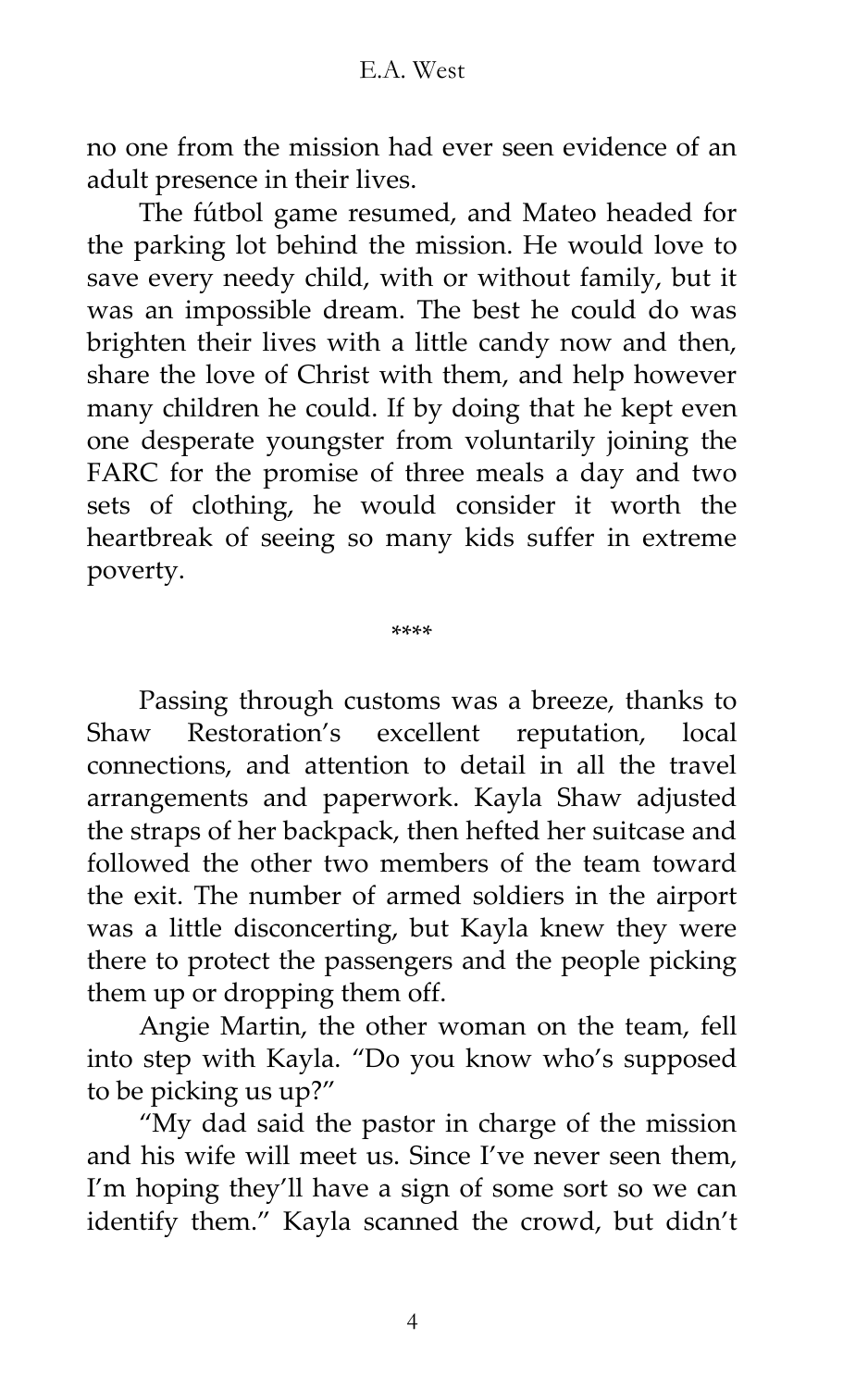no one from the mission had ever seen evidence of an adult presence in their lives.

The fútbol game resumed, and Mateo headed for the parking lot behind the mission. He would love to save every needy child, with or without family, but it was an impossible dream. The best he could do was brighten their lives with a little candy now and then, share the love of Christ with them, and help however many children he could. If by doing that he kept even one desperate youngster from voluntarily joining the FARC for the promise of three meals a day and two sets of clothing, he would consider it worth the heartbreak of seeing so many kids suffer in extreme poverty.

\*\*\*\*

Passing through customs was a breeze, thanks to Shaw Restoration's excellent reputation, local connections, and attention to detail in all the travel arrangements and paperwork. Kayla Shaw adjusted the straps of her backpack, then hefted her suitcase and followed the other two members of the team toward the exit. The number of armed soldiers in the airport was a little disconcerting, but Kayla knew they were there to protect the passengers and the people picking them up or dropping them off.

Angie Martin, the other woman on the team, fell into step with Kayla. 'Do you know who's supposed to be picking us up?'

'My dad said the pastor in charge of the mission and his wife will meet us. Since I've never seen them, I'm hoping they'll have a sign of some sort so we can identify them.' Kayla scanned the crowd, but didn't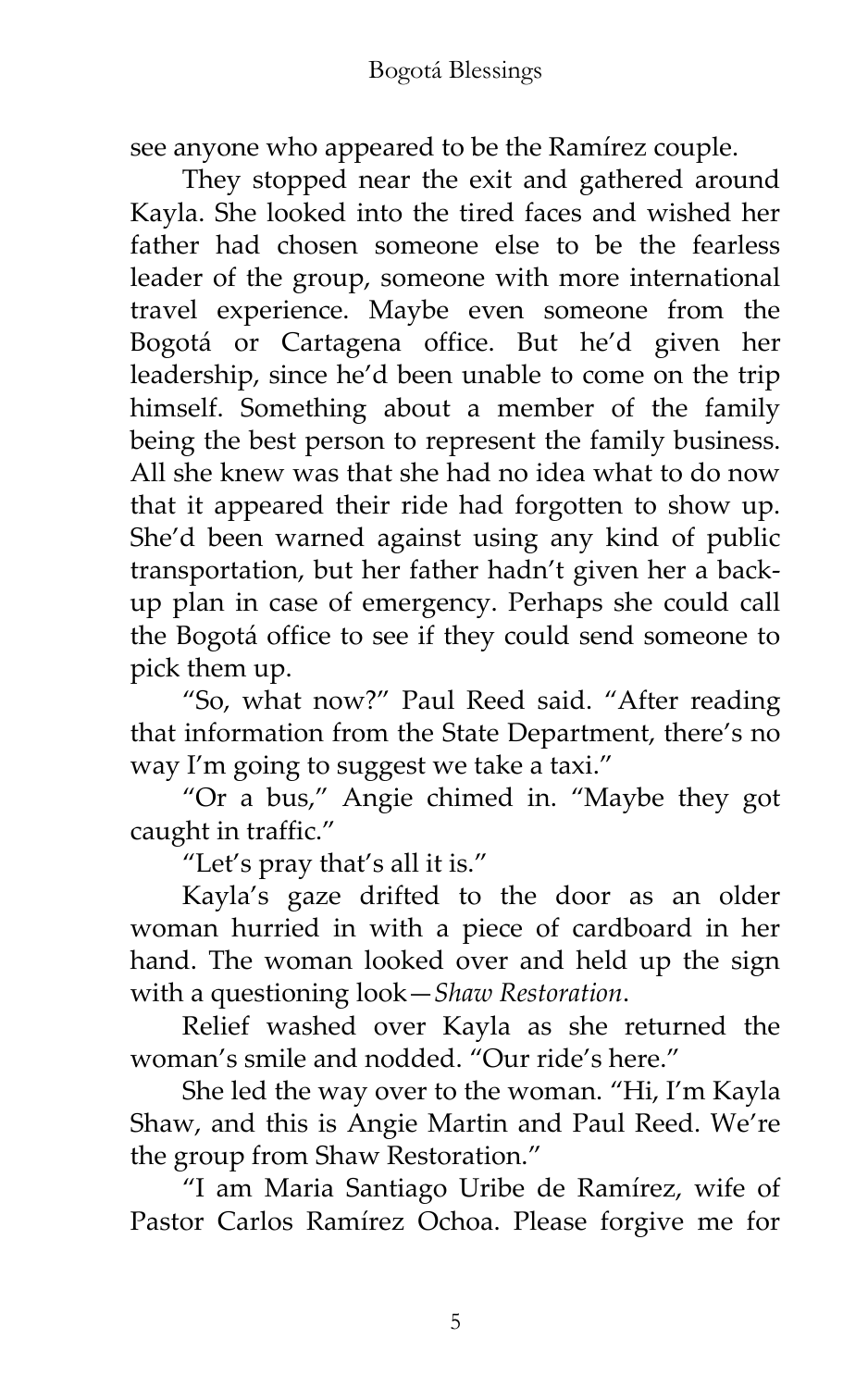see anyone who appeared to be the Ramírez couple.

They stopped near the exit and gathered around Kayla. She looked into the tired faces and wished her father had chosen someone else to be the fearless leader of the group, someone with more international travel experience. Maybe even someone from the Bogotá or Cartagena office. But he'd given her leadership, since he'd been unable to come on the trip himself. Something about a member of the family being the best person to represent the family business. All she knew was that she had no idea what to do now that it appeared their ride had forgotten to show up. She'd been warned against using any kind of public transportation, but her father hadn't given her a backup plan in case of emergency. Perhaps she could call the Bogotá office to see if they could send someone to pick them up.

'So, what now?' Paul Reed said. 'After reading that information from the State Department, there's no way I'm going to suggest we take a taxi.'

'Or a bus,' Angie chimed in. 'Maybe they got caught in traffic.'

'Let's pray that's all it is.'

Kayla's gaze drifted to the door as an older woman hurried in with a piece of cardboard in her hand. The woman looked over and held up the sign with a questioning look—*Shaw Restoration*.

Relief washed over Kayla as she returned the woman's smile and nodded. 'Our ride's here.'

She led the way over to the woman. 'Hi, I'm Kayla Shaw, and this is Angie Martin and Paul Reed. We're the group from Shaw Restoration.'

'I am Maria Santiago Uribe de Ramírez, wife of Pastor Carlos Ramírez Ochoa. Please forgive me for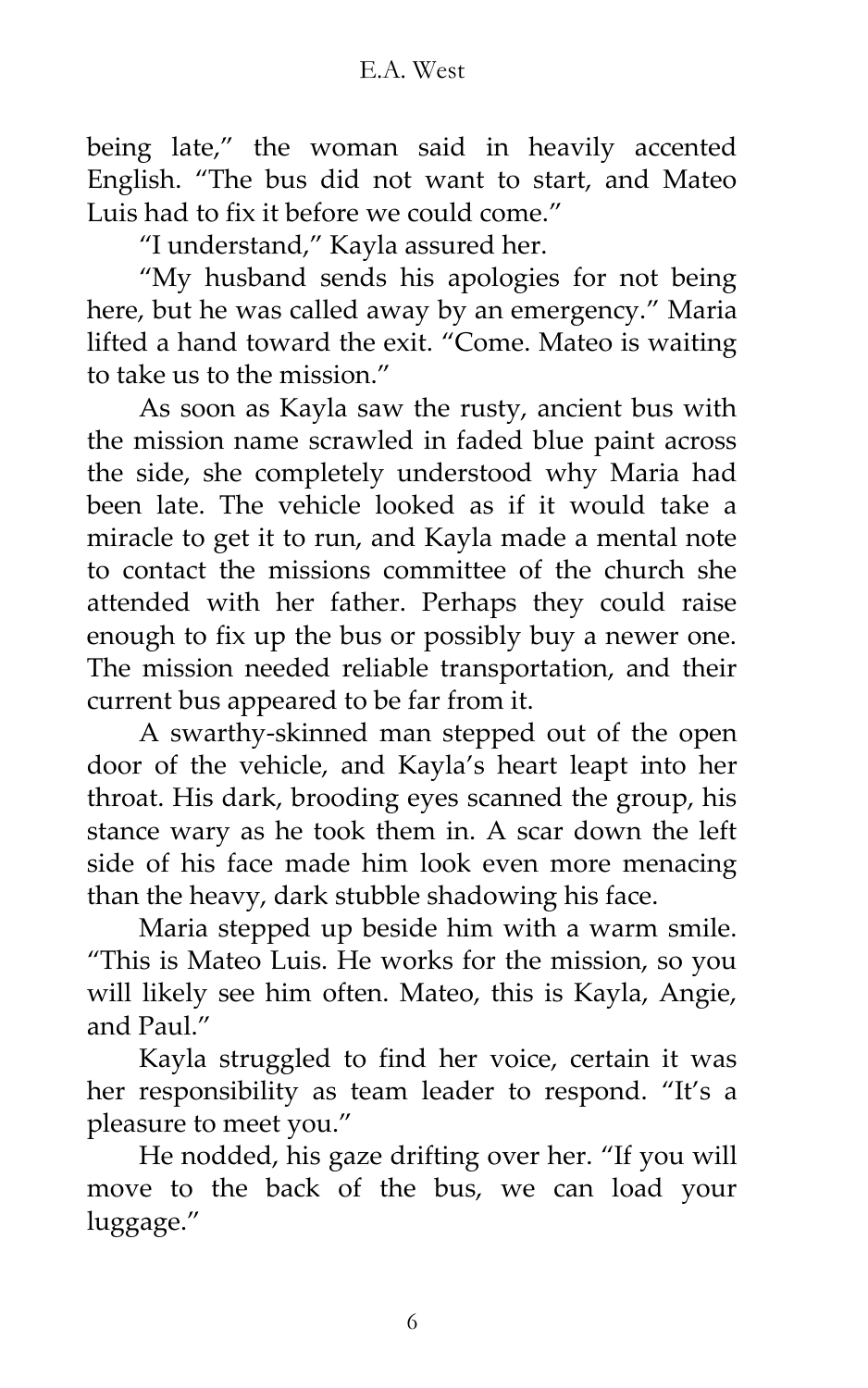being late,' the woman said in heavily accented English. 'The bus did not want to start, and Mateo Luis had to fix it before we could come.'

'I understand,' Kayla assured her.

'My husband sends his apologies for not being here, but he was called away by an emergency.' Maria lifted a hand toward the exit. 'Come. Mateo is waiting to take us to the mission"

As soon as Kayla saw the rusty, ancient bus with the mission name scrawled in faded blue paint across the side, she completely understood why Maria had been late. The vehicle looked as if it would take a miracle to get it to run, and Kayla made a mental note to contact the missions committee of the church she attended with her father. Perhaps they could raise enough to fix up the bus or possibly buy a newer one. The mission needed reliable transportation, and their current bus appeared to be far from it.

A swarthy-skinned man stepped out of the open door of the vehicle, and Kayla's heart leapt into her throat. His dark, brooding eyes scanned the group, his stance wary as he took them in. A scar down the left side of his face made him look even more menacing than the heavy, dark stubble shadowing his face.

Maria stepped up beside him with a warm smile. 'This is Mateo Luis. He works for the mission, so you will likely see him often. Mateo, this is Kayla, Angie, and Paul.'

Kayla struggled to find her voice, certain it was her responsibility as team leader to respond. 'It's a pleasure to meet you.'

He nodded, his gaze drifting over her. 'If you will move to the back of the bus, we can load your luggage.'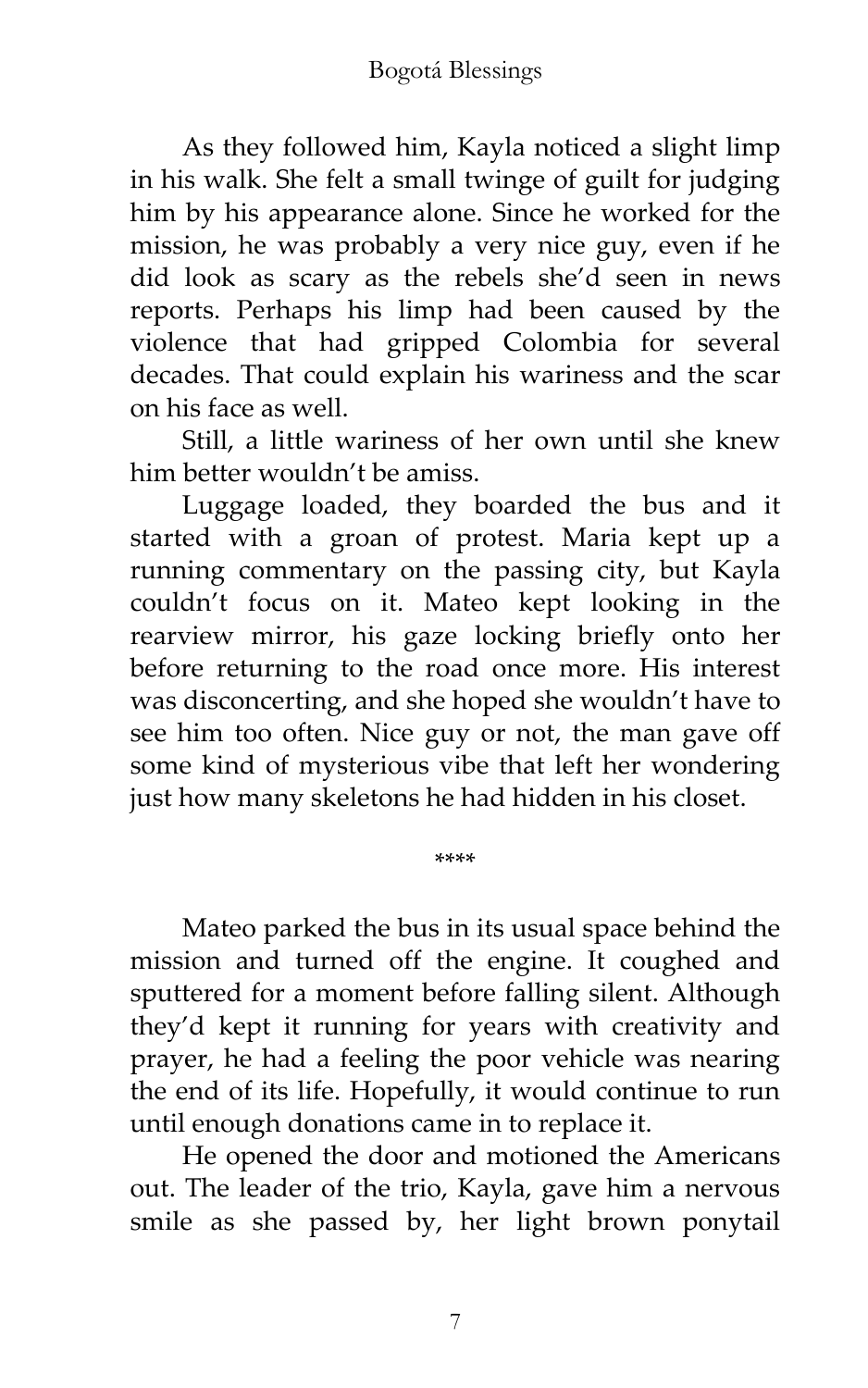As they followed him, Kayla noticed a slight limp in his walk. She felt a small twinge of guilt for judging him by his appearance alone. Since he worked for the mission, he was probably a very nice guy, even if he did look as scary as the rebels she'd seen in news reports. Perhaps his limp had been caused by the violence that had gripped Colombia for several decades. That could explain his wariness and the scar on his face as well.

Still, a little wariness of her own until she knew him better wouldn't be amiss.

Luggage loaded, they boarded the bus and it started with a groan of protest. Maria kept up a running commentary on the passing city, but Kayla couldn't focus on it. Mateo kept looking in the rearview mirror, his gaze locking briefly onto her before returning to the road once more. His interest was disconcerting, and she hoped she wouldn't have to see him too often. Nice guy or not, the man gave off some kind of mysterious vibe that left her wondering just how many skeletons he had hidden in his closet.

Mateo parked the bus in its usual space behind the mission and turned off the engine. It coughed and sputtered for a moment before falling silent. Although they'd kept it running for years with creativity and prayer, he had a feeling the poor vehicle was nearing the end of its life. Hopefully, it would continue to run until enough donations came in to replace it.

\*\*\*\*

He opened the door and motioned the Americans out. The leader of the trio, Kayla, gave him a nervous smile as she passed by, her light brown ponytail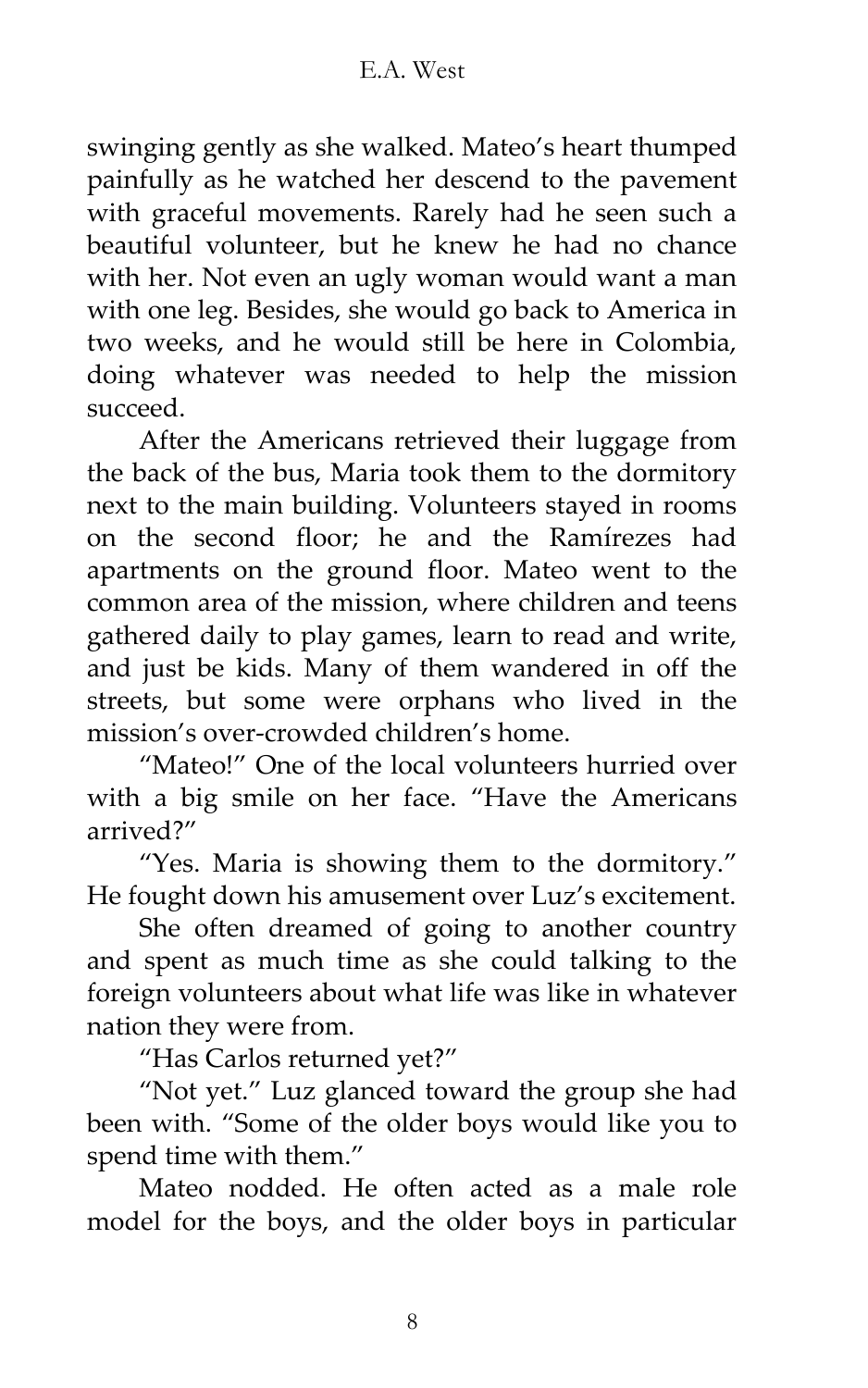swinging gently as she walked. Mateo's heart thumped painfully as he watched her descend to the pavement with graceful movements. Rarely had he seen such a beautiful volunteer, but he knew he had no chance with her. Not even an ugly woman would want a man with one leg. Besides, she would go back to America in two weeks, and he would still be here in Colombia, doing whatever was needed to help the mission succeed.

After the Americans retrieved their luggage from the back of the bus, Maria took them to the dormitory next to the main building. Volunteers stayed in rooms on the second floor; he and the Ramírezes had apartments on the ground floor. Mateo went to the common area of the mission, where children and teens gathered daily to play games, learn to read and write, and just be kids. Many of them wandered in off the streets, but some were orphans who lived in the mission's over-crowded children's home.

'Mateo!' One of the local volunteers hurried over with a big smile on her face. 'Have the Americans arrived?'

'Yes. Maria is showing them to the dormitory.' He fought down his amusement over Luz's excitement.

She often dreamed of going to another country and spent as much time as she could talking to the foreign volunteers about what life was like in whatever nation they were from.

'Has Carlos returned yet?'

'Not yet.' Luz glanced toward the group she had been with. 'Some of the older boys would like you to spend time with them.'

Mateo nodded. He often acted as a male role model for the boys, and the older boys in particular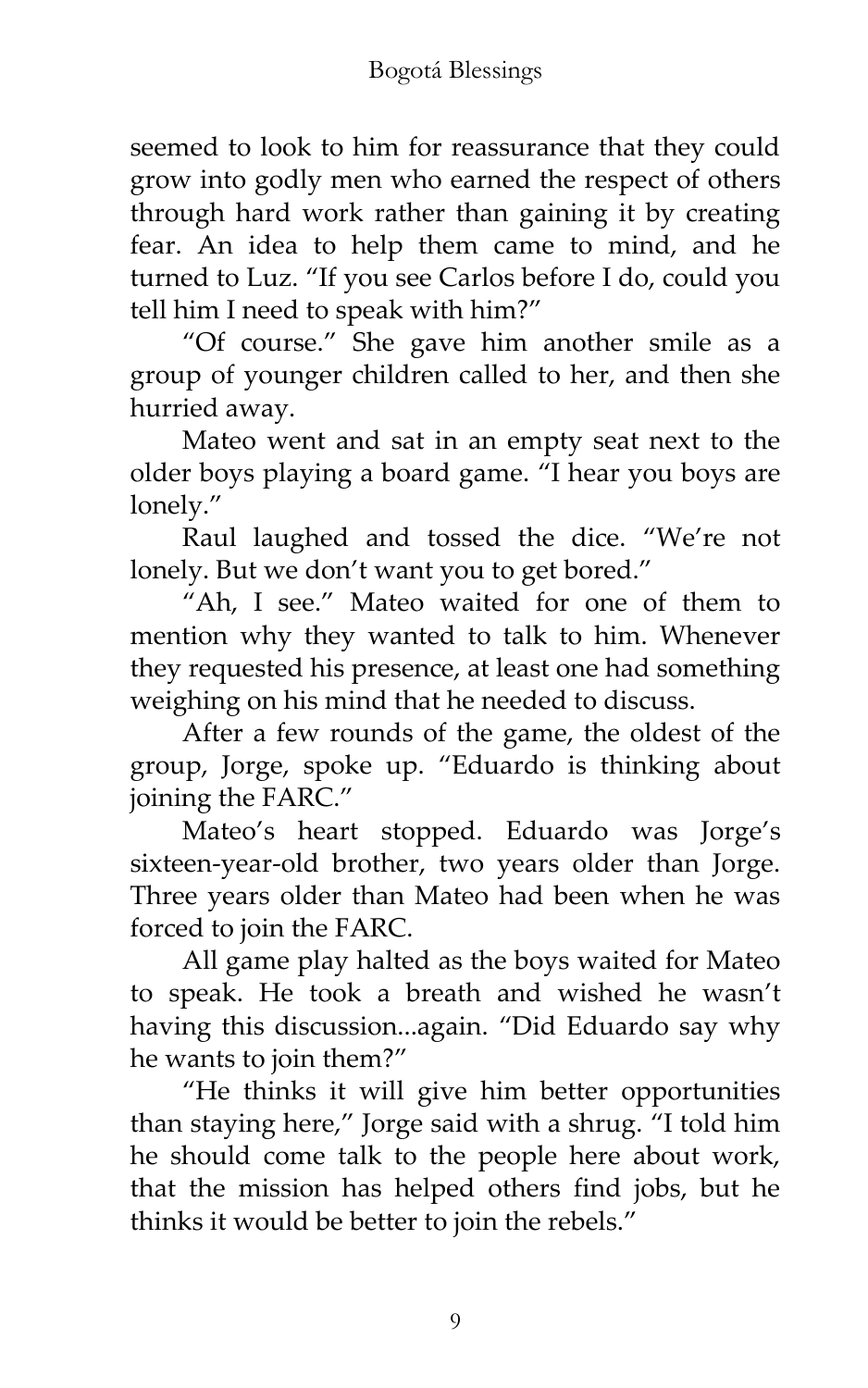seemed to look to him for reassurance that they could grow into godly men who earned the respect of others through hard work rather than gaining it by creating fear. An idea to help them came to mind, and he turned to Luz. 'If you see Carlos before I do, could you tell him I need to speak with him?'

'Of course.' She gave him another smile as a group of younger children called to her, and then she hurried away.

Mateo went and sat in an empty seat next to the older boys playing a board game. 'I hear you boys are lonely."

Raul laughed and tossed the dice. 'We're not lonely. But we don't want you to get bored."

'Ah, I see.' Mateo waited for one of them to mention why they wanted to talk to him. Whenever they requested his presence, at least one had something weighing on his mind that he needed to discuss.

After a few rounds of the game, the oldest of the group, Jorge, spoke up. 'Eduardo is thinking about joining the FARC.'

Mateo's heart stopped. Eduardo was Jorge's sixteen-year-old brother, two years older than Jorge. Three years older than Mateo had been when he was forced to join the FARC.

All game play halted as the boys waited for Mateo to speak. He took a breath and wished he wasn't having this discussion...again. 'Did Eduardo say why he wants to join them?'

'He thinks it will give him better opportunities than staying here," Jorge said with a shrug. "I told him he should come talk to the people here about work, that the mission has helped others find jobs, but he thinks it would be better to join the rebels.'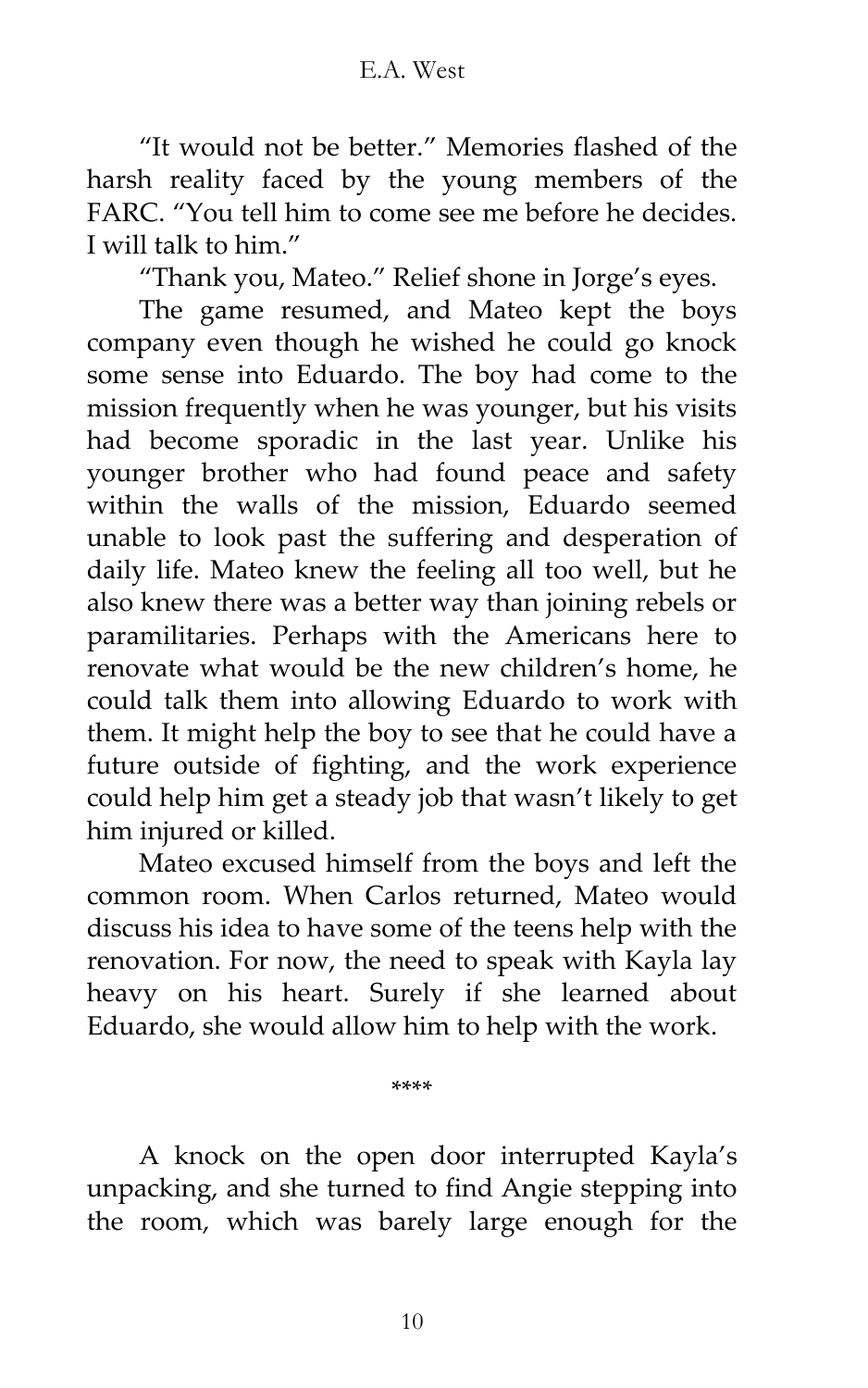'It would not be better.' Memories flashed of the harsh reality faced by the young members of the FARC. 'You tell him to come see me before he decides. I will talk to him.'

'Thank you, Mateo.' Relief shone in Jorge's eyes.

The game resumed, and Mateo kept the boys company even though he wished he could go knock some sense into Eduardo. The boy had come to the mission frequently when he was younger, but his visits had become sporadic in the last year. Unlike his younger brother who had found peace and safety within the walls of the mission, Eduardo seemed unable to look past the suffering and desperation of daily life. Mateo knew the feeling all too well, but he also knew there was a better way than joining rebels or paramilitaries. Perhaps with the Americans here to renovate what would be the new children's home, he could talk them into allowing Eduardo to work with them. It might help the boy to see that he could have a future outside of fighting, and the work experience could help him get a steady job that wasn't likely to get him injured or killed.

Mateo excused himself from the boys and left the common room. When Carlos returned, Mateo would discuss his idea to have some of the teens help with the renovation. For now, the need to speak with Kayla lay heavy on his heart. Surely if she learned about Eduardo, she would allow him to help with the work.

\*\*\*\*

A knock on the open door interrupted Kayla's unpacking, and she turned to find Angie stepping into the room, which was barely large enough for the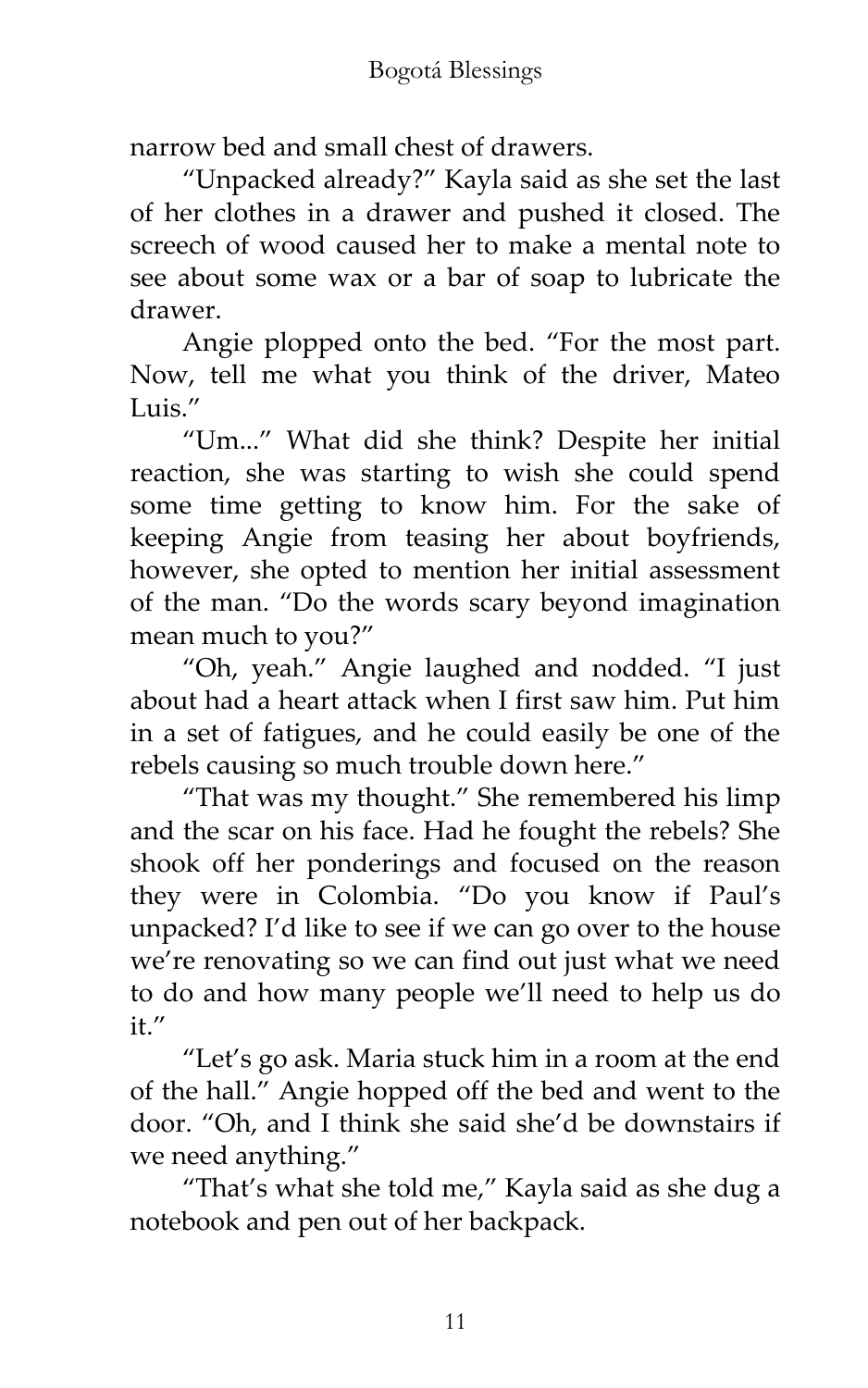narrow bed and small chest of drawers.

'Unpacked already?' Kayla said as she set the last of her clothes in a drawer and pushed it closed. The screech of wood caused her to make a mental note to see about some wax or a bar of soap to lubricate the drawer.

Angie plopped onto the bed. 'For the most part. Now, tell me what you think of the driver, Mateo Luis $''$ 

'Um...' What did she think? Despite her initial reaction, she was starting to wish she could spend some time getting to know him. For the sake of keeping Angie from teasing her about boyfriends, however, she opted to mention her initial assessment of the man. 'Do the words scary beyond imagination mean much to you?'

'Oh, yeah.' Angie laughed and nodded. 'I just about had a heart attack when I first saw him. Put him in a set of fatigues, and he could easily be one of the rebels causing so much trouble down here.'

'That was my thought.' She remembered his limp and the scar on his face. Had he fought the rebels? She shook off her ponderings and focused on the reason they were in Colombia. 'Do you know if Paul's unpacked? I'd like to see if we can go over to the house we're renovating so we can find out just what we need to do and how many people we'll need to help us do  $i$ <sup>t</sup>.''

'Let's go ask. Maria stuck him in a room at the end of the hall.' Angie hopped off the bed and went to the door. 'Oh, and I think she said she'd be downstairs if we need anything.'

'That's what she told me,' Kayla said as she dug a notebook and pen out of her backpack.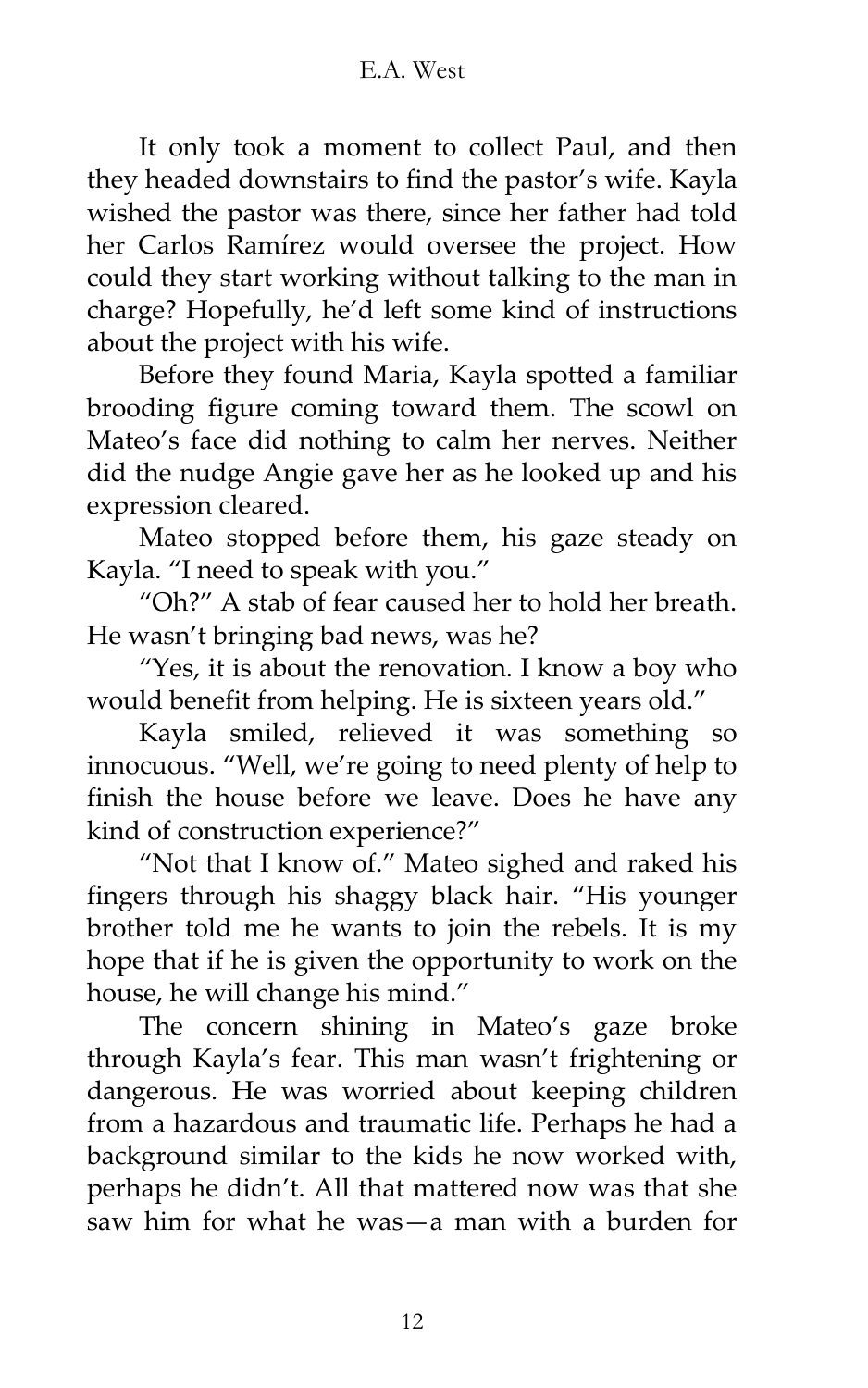It only took a moment to collect Paul, and then they headed downstairs to find the pastor's wife. Kayla wished the pastor was there, since her father had told her Carlos Ramírez would oversee the project. How could they start working without talking to the man in charge? Hopefully, he'd left some kind of instructions about the project with his wife.

Before they found Maria, Kayla spotted a familiar brooding figure coming toward them. The scowl on Mateo's face did nothing to calm her nerves. Neither did the nudge Angie gave her as he looked up and his expression cleared.

Mateo stopped before them, his gaze steady on Kayla. 'I need to speak with you.'

'Oh?' A stab of fear caused her to hold her breath. He wasn't bringing bad news, was he?

'Yes, it is about the renovation. I know a boy who would benefit from helping. He is sixteen years old."

Kayla smiled, relieved it was something so innocuous. 'Well, we're going to need plenty of help to finish the house before we leave. Does he have any kind of construction experience?'

'Not that I know of.' Mateo sighed and raked his fingers through his shaggy black hair. 'His younger brother told me he wants to join the rebels. It is my hope that if he is given the opportunity to work on the house, he will change his mind.'

The concern shining in Mateo's gaze broke through Kayla's fear. This man wasn't frightening or dangerous. He was worried about keeping children from a hazardous and traumatic life. Perhaps he had a background similar to the kids he now worked with, perhaps he didn't. All that mattered now was that she saw him for what he was—a man with a burden for